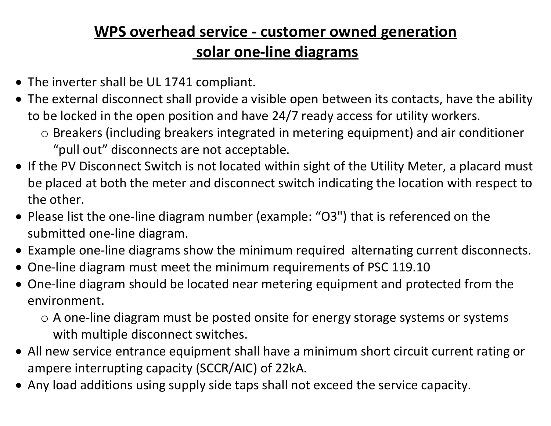## WPS overhead service - customer owned generation solar one-line diagrams

- The inverter shall be UL 1741 compliant.
- The external disconnect shall provide a visible open between its contacts, have the ability to be locked in the open position and have 24/7 ready access for utility workers.
	- o Breakers (including breakers integrated in metering equipment) and air conditioner "pull out" disconnects are not acceptable.
- If the PV Disconnect Switch is not located within sight of the Utility Meter, a placard must be placed at both the meter and disconnect switch indicating the location with respect to the other.
- Please list the one-line diagram number (example: "O3") that is referenced on the submitted one-line diagram.
- Example one-line diagrams show the minimum required alternating current disconnects.
- One-line diagram must meet the minimum requirements of PSC 119.10
- One-line diagram should be located near metering equipment and protected from the environment.
	- o A one-line diagram must be posted onsite for energy storage systems or systems with multiple disconnect switches.
- All new service entrance equipment shall have a minimum short circuit current rating or ampere interrupting capacity (SCCR/AIC) of 22kA.
- Any load additions using supply side taps shall not exceed the service capacity.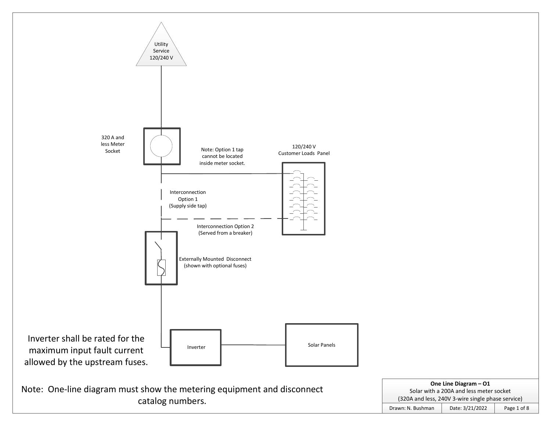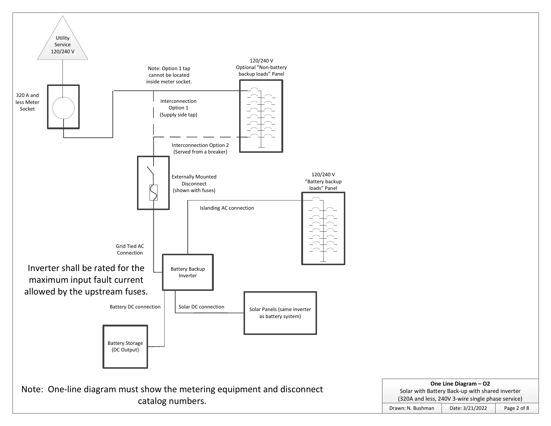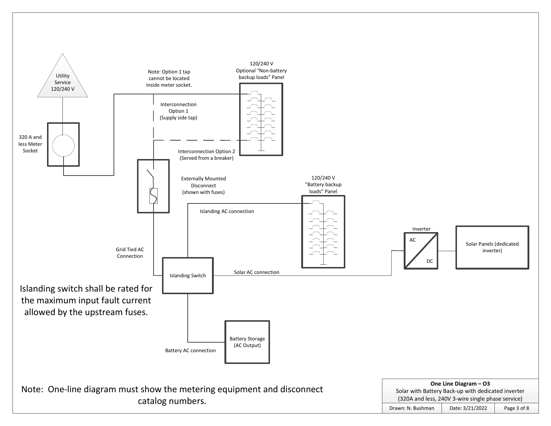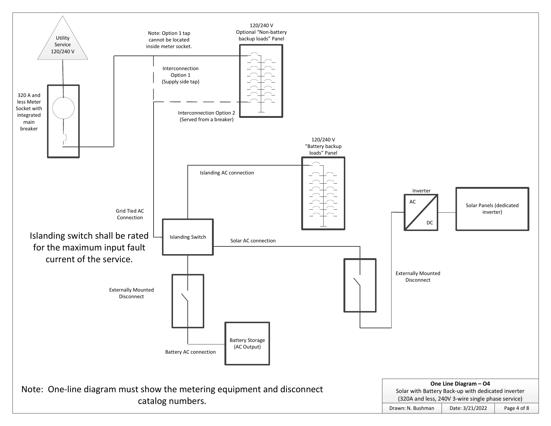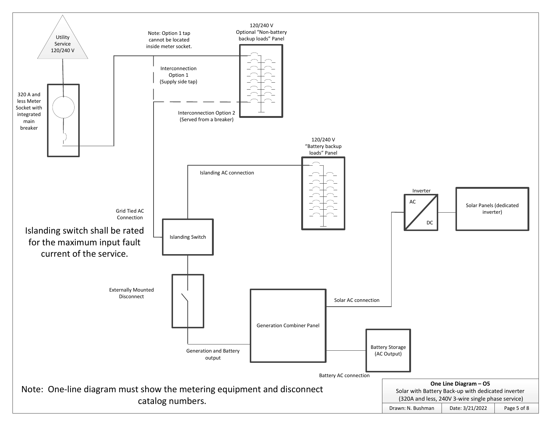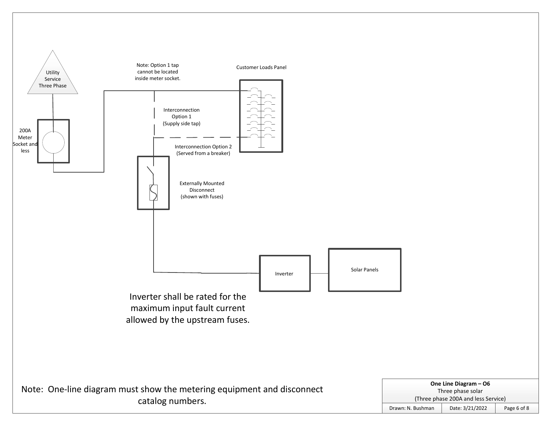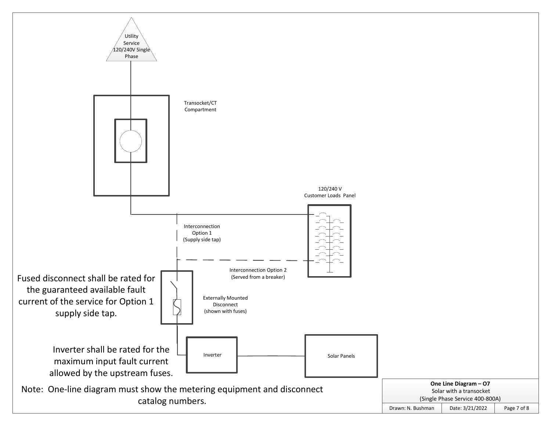